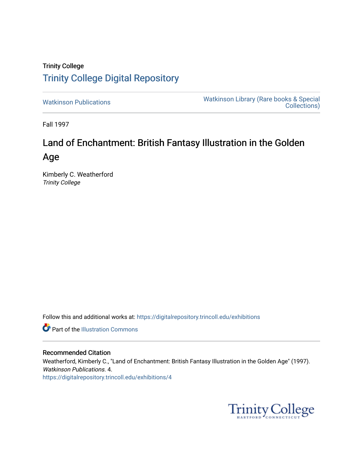## Trinity College [Trinity College Digital Repository](https://digitalrepository.trincoll.edu/)

[Watkinson Publications](https://digitalrepository.trincoll.edu/exhibitions) [Watkinson Library \(Rare books & Special](https://digitalrepository.trincoll.edu/watkinson)  [Collections\)](https://digitalrepository.trincoll.edu/watkinson) 

Fall 1997

# Land of Enchantment: British Fantasy Illustration in the Golden Age

Kimberly C. Weatherford Trinity College

Follow this and additional works at: [https://digitalrepository.trincoll.edu/exhibitions](https://digitalrepository.trincoll.edu/exhibitions?utm_source=digitalrepository.trincoll.edu%2Fexhibitions%2F4&utm_medium=PDF&utm_campaign=PDFCoverPages) 

**Part of the Illustration Commons** 

## Recommended Citation

Weatherford, Kimberly C., "Land of Enchantment: British Fantasy Illustration in the Golden Age" (1997). Watkinson Publications. 4. [https://digitalrepository.trincoll.edu/exhibitions/4](https://digitalrepository.trincoll.edu/exhibitions/4?utm_source=digitalrepository.trincoll.edu%2Fexhibitions%2F4&utm_medium=PDF&utm_campaign=PDFCoverPages) 

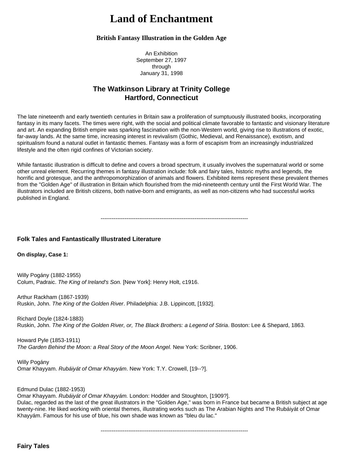## **Land of Enchantment**

## **British Fantasy Illustration in the Golden Age**

An Exhibition September 27, 1997 through January 31, 1998

## **The Watkinson Library at Trinity College Hartford, Connecticut**

The late nineteenth and early twentieth centuries in Britain saw a proliferation of sumptuously illustrated books, incorporating fantasy in its many facets. The times were right, with the social and political climate favorable to fantastic and visionary literature and art. An expanding British empire was sparking fascination with the non-Western world, giving rise to illustrations of exotic, far-away lands. At the same time, increasing interest in revivalism (Gothic, Medieval, and Renaissance), exotism, and spiritualism found a natural outlet in fantastic themes. Fantasy was a form of escapism from an increasingly industrialized lifestyle and the often rigid confines of Victorian society.

While fantastic illustration is difficult to define and covers a broad spectrum, it usually involves the supernatural world or some other unreal element. Recurring themes in fantasy illustration include: folk and fairy tales, historic myths and legends, the horrific and grotesque, and the anthropomorphization of animals and flowers. Exhibited items represent these prevalent themes from the "Golden Age" of illustration in Britain which flourished from the mid-nineteenth century until the First World War. The illustrators included are British citizens, both native-born and emigrants, as well as non-citizens who had successful works published in England.

--------------------------------------------------------------------------------

## **Folk Tales and Fantastically Illustrated Literature**

#### **On display, Case 1:**

Willy Pogány (1882-1955) Colum, Padraic. *The King of Ireland's Son.* [New York]: Henry Holt, c1916.

Arthur Rackham (1867-1939) Ruskin, John. *The King of the Golden River*. Philadelphia: J.B. Lippincott, [1932].

Richard Doyle (1824-1883) Ruskin, John. *The King of the Golden River, or, The Black Brothers: a Legend of Stiria*. Boston: Lee & Shepard, 1863.

Howard Pyle (1853-1911) *The Garden Behind the Moon: a Real Story of the Moon Angel.* New York: Scribner, 1906.

Willy Pogány Omar Khayyam. *Rubáiyát of Omar Khayyám*. New York: T.Y. Crowell, [19--?].

Edmund Dulac (1882-1953)

Omar Khayyam. *Rubáiyát of Omar Khayyám.* London: Hodder and Stoughton, [1909?]. Dulac, regarded as the last of the great illustrators in the "Golden Age," was born in France but became a British subject at age twenty-nine. He liked working with oriental themes, illustrating works such as The Arabian Nights and The Rubáiyát of Omar Khayyám. Famous for his use of blue, his own shade was known as "bleu du lac."

--------------------------------------------------------------------------------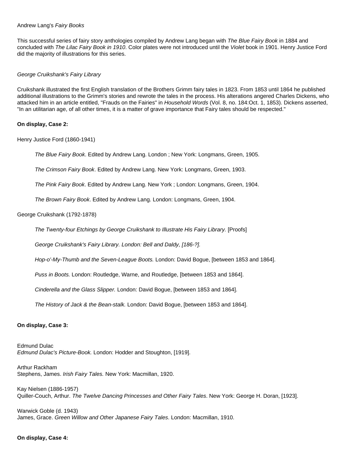#### Andrew Lang's *Fairy Books*

This successful series of fairy story anthologies compiled by Andrew Lang began with *The Blue Fairy Book* in 1884 and concluded with *The Lilac Fairy Book in 1910*. Color plates were not introduced until the *Violet* book in 1901. Henry Justice Ford did the majority of illustrations for this series.

#### *George Cruikshank's Fairy Library*

Cruikshank illustrated the first English translation of the Brothers Grimm fairy tales in 1823. From 1853 until 1864 he published additional illustrations to the Grimm's stories and rewrote the tales in the process. His alterations angered Charles Dickens, who attacked him in an article entitled, "Frauds on the Fairies" in *Household Words* (Vol. 8, no. 184:Oct. 1, 1853). Dickens asserted, "In an utilitarian age, of all other times, it is a matter of grave importance that Fairy tales should be respected."

#### **On display, Case 2:**

Henry Justice Ford (1860-1941)

*The Blue Fairy Book*. Edited by Andrew Lang. London ; New York: Longmans, Green, 1905.

*The Crimson Fairy Book*. Edited by Andrew Lang. New York: Longmans, Green, 1903.

*The Pink Fairy Book*. Edited by Andrew Lang. New York ; London: Longmans, Green, 1904.

*The Brown Fairy Book*. Edited by Andrew Lang. London: Longmans, Green, 1904.

## George Cruikshank (1792-1878)

*The Twenty-four Etchings by George Cruikshank to Illustrate His Fairy Library.* [Proofs]

*George Cruikshank's Fairy Library. London: Bell and Daldy, [186-?].* 

*Hop-o'-My-Thumb and the Seven-League Boots.* London: David Bogue, [between 1853 and 1864].

*Puss in Boots.* London: Routledge, Warne, and Routledge, [between 1853 and 1864].

*Cinderella and the Glass Slipper.* London: David Bogue, [between 1853 and 1864].

*The History of Jack & the Bean-stalk.* London: David Bogue, [between 1853 and 1864].

#### **On display, Case 3:**

Edmund Dulac *Edmund Dulac's Picture-Book.* London: Hodder and Stoughton, [1919].

Arthur Rackham Stephens, James. *Irish Fairy Tales.* New York: Macmillan, 1920.

Kay Nielsen (1886-1957) Quiller-Couch, Arthur. *The Twelve Dancing Princesses and Other Fairy Tales*. New York: George H. Doran, [1923].

Warwick Goble (d. 1943) James, Grace. *Green Willow and Other Japanese Fairy Tales*. London: Macmillan, 1910.

## **On display, Case 4:**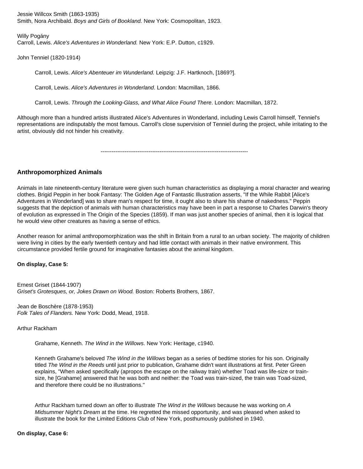Jessie Willcox Smith (1863-1935) Smith, Nora Archibald. *Boys and Girls of Bookland.* New York: Cosmopolitan, 1923.

Willy Pogány Carroll, Lewis. *Alice's Adventures in Wonderland.* New York: E.P. Dutton, c1929.

John Tenniel (1820-1914)

Carroll, Lewis. *Alice's Abenteuer im Wunderland.* Leipzig: J.F. Hartknoch, [1869?].

Carroll, Lewis. *Alice's Adventures in Wonderland*. London: Macmillan, 1866.

Carroll, Lewis. *Through the Looking-Glass, and What Alice Found There*. London: Macmillan, 1872.

Although more than a hundred artists illustrated Alice's Adventures in Wonderland, including Lewis Carroll himself, Tenniel's representations are indisputably the most famous. Carroll's close supervision of Tenniel during the project, while irritating to the artist, obviously did not hinder his creativity.

--------------------------------------------------------------------------------

## **Anthropomorphized Animals**

Animals in late nineteenth-century literature were given such human characteristics as displaying a moral character and wearing clothes. Brigid Peppin in her book Fantasy: The Golden Age of Fantastic Illustration asserts, "If the While Rabbit [Alice's Adventures in Wonderland] was to share man's respect for time, it ought also to share his shame of nakedness." Peppin suggests that the depiction of animals with human characteristics may have been in part a response to Charles Darwin's theory of evolution as expressed in The Origin of the Species (1859). If man was just another species of animal, then it is logical that he would view other creatures as having a sense of ethics.

Another reason for animal anthropomorphization was the shift in Britain from a rural to an urban society. The majority of children were living in cities by the early twentieth century and had little contact with animals in their native environment. This circumstance provided fertile ground for imaginative fantasies about the animal kingdom.

## **On display, Case 5:**

Ernest Griset (1844-1907) *Griset's Grotesques, or, Jokes Drawn on Wood.* Boston: Roberts Brothers, 1867.

Jean de Boschère (1878-1953) *Folk Tales of Flanders.* New York: Dodd, Mead, 1918.

Arthur Rackham

Grahame, Kenneth. *The Wind in the Willows*. New York: Heritage, c1940.

Kenneth Grahame's beloved *The Wind in the Willows* began as a series of bedtime stories for his son. Originally titled *The Wind in the Reeds* until just prior to publication, Grahame didn't want illustrations at first. Peter Green explains, "When asked specifically (apropos the escape on the railway train) whether Toad was life-size or trainsize, he [Grahame] answered that he was both and neither: the Toad was train-sized, the train was Toad-sized, and therefore there could be no illustrations."

Arthur Rackham turned down an offer to illustrate *The Wind in the Willows* because he was working on *A Midsummer Night's Dream* at the time. He regretted the missed opportunity, and was pleased when asked to illustrate the book for the Limited Editions Club of New York, posthumously published in 1940.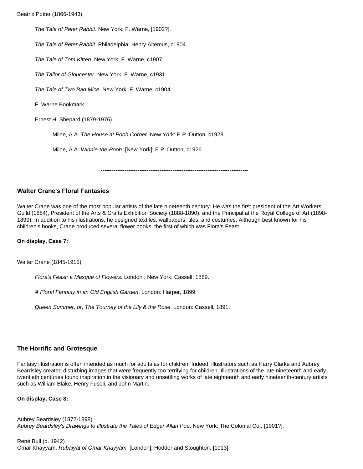Beatrix Potter (1866-1943)

*The Tale of Peter Rabbit*. New York: F. Warne, [1902?].

*The Tale of Peter Rabbit*. Philadelphia: Henry Altemus, c1904.

*The Tale of Tom Kitten.* New York: F. Warne, c1907.

*The Tailor of Gloucester.* New York: F. Warne, c1931.

*The Tale of Two Bad Mice.* New York: F. Warne, c1904.

F. Warne Bookmark.

Ernest H. Shepard (1879-1976)

Milne, A.A. *The House at Pooh Corner*. New York: E.P. Dutton, c1928.

Milne, A.A. *Winnie-the-Pooh.* [New York]: E.P. Dutton, c1926.

--------------------------------------------------------------------------------

## **Walter Crane's Floral Fantasies**

Walter Crane was one of the most popular artists of the late nineteenth century. He was the first president of the Art Workers' Guild (1884), President of the Arts & Crafts Exhibition Society (1888-1890), and the Principal at the Royal College of Art (1898- 1899). In addition to his illustrations, he designed textiles, wallpapers, tiles, and costumes. Although best known for his children's books, Crane produced several flower books, the first of which was Flora's Feast.

#### **On display, Case 7:**

Walter Crane (1845-1915)

*Flora's Feast: a Masque of Flowers.* London ; New York: Cassell, 1889.

*A Floral Fantasy in an Old English Garden*. London: Harper, 1899.

*Queen Summer, or, The Tourney of the Lily & the Rose*. London: Cassell, 1891.

--------------------------------------------------------------------------------

## **The Horrific and Grotesque**

Fantasy illustration is often intended as much for adults as for children. Indeed, illustrators such as Harry Clarke and Aubrey Beardsley created disturbing images that were frequently too terrifying for children. Illustrations of the late nineteenth and early twentieth centuries found inspiration in the visionary and unsettling works of late eighteenth and early nineteenth-century artists such as William Blake, Henry Fuseli, and John Martin.

#### **On display, Case 8:**

Aubrey Beardsley (1872-1898) *Aubrey Beardsley's Drawings to Illustrate the Tales of Edgar Allan Poe*. New York: The Colonial Co., [1901?].

René Bull (d. 1942) Omar Khayyam. *Rubáiyát of Omar Khayyám.* [London]: Hodder and Stoughton, [1913].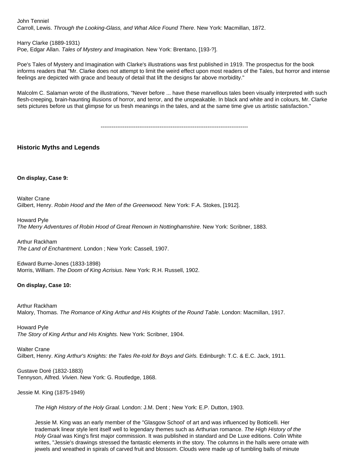John Tenniel Carroll, Lewis. *Through the Looking-Glass, and What Alice Found There*. New York: Macmillan, 1872.

Harry Clarke (1889-1931)

Poe, Edgar Allan. *Tales of Mystery and Imagination.* New York: Brentano, [193-?].

Poe's Tales of Mystery and Imagination with Clarke's illustrations was first published in 1919. The prospectus for the book informs readers that "Mr. Clarke does not attempt to limit the weird effect upon most readers of the Tales, but horror and intense feelings are depicted with grace and beauty of detail that lift the designs far above morbidity."

Malcolm C. Salaman wrote of the illustrations, "Never before ... have these marvellous tales been visually interpreted with such flesh-creeping, brain-haunting illusions of horror, and terror, and the unspeakable. In black and white and in colours, Mr. Clarke sets pictures before us that glimpse for us fresh meanings in the tales, and at the same time give us artistic satisfaction."

--------------------------------------------------------------------------------

**Historic Myths and Legends** 

**On display, Case 9:**

Walter Crane Gilbert, Henry. *Robin Hood and the Men of the Greenwood.* New York: F.A. Stokes, [1912].

Howard Pyle *The Merry Adventures of Robin Hood of Great Renown in Nottinghamshire*. New York: Scribner, 1883.

Arthur Rackham *The Land of Enchantment.* London ; New York: Cassell, 1907.

Edward Burne-Jones (1833-1898) Morris, William. *The Doom of King Acrisius*. New York: R.H. Russell, 1902.

## **On display, Case 10:**

Arthur Rackham Malory, Thomas. *The Romance of King Arthur and His Knights of the Round Table*. London: Macmillan, 1917.

Howard Pyle *The Story of King Arthur and His Knights.* New York: Scribner, 1904.

Walter Crane Gilbert, Henry. *King Arthur's Knights: the Tales Re-told for Boys and Girls.* Edinburgh: T.C. & E.C. Jack, 1911.

Gustave Doré (1832-1883) Tennyson, Alfred. *Vivien*. New York: G. Routledge, 1868.

Jessie M. King (1875-1949)

*The High History of the Holy Graal.* London: J.M. Dent ; New York: E.P. Dutton, 1903.

Jessie M. King was an early member of the "Glasgow School' of art and was influenced by Botticelli. Her trademark linear style lent itself well to legendary themes such as Arthurian romance. *The High History of the Holy Graal* was King's first major commission. It was published in standard and De Luxe editions. Colin White writes, "Jessie's drawings stressed the fantastic elements in the story. The columns in the halls were ornate with jewels and wreathed in spirals of carved fruit and blossom. Clouds were made up of tumbling balls of minute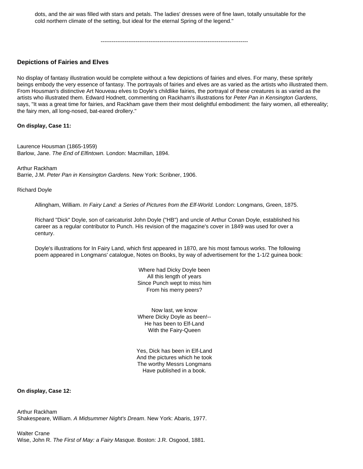dots, and the air was filled with stars and petals. The ladies' dresses were of fine lawn, totally unsuitable for the cold northern climate of the setting, but ideal for the eternal Spring of the legend."

--------------------------------------------------------------------------------

## **Depictions of Fairies and Elves**

No display of fantasy illustration would be complete without a few depictions of fairies and elves. For many, these spritely beings embody the very essence of fantasy. The portrayals of fairies and elves are as varied as the artists who illustrated them. From Housman's distinctive Art Nouveau elves to Doyle's childlike fairies, the portrayal of these creatures is as varied as the artists who illustrated them. Edward Hodnett, commenting on Rackham's illustrations for *Peter Pan in Kensington Gardens*, says, "It was a great time for fairies, and Rackham gave them their most delightful embodiment: the fairy women, all ethereality; the fairy men, all long-nosed, bat-eared drollery."

#### **On display, Case 11:**

Laurence Housman (1865-1959) Barlow, Jane. *The End of Elfintown.* London: Macmillan, 1894.

Arthur Rackham Barrie, J.M. *Peter Pan in Kensington Gardens.* New York: Scribner, 1906.

Richard Doyle

Allingham, William. *In Fairy Land: a Series of Pictures from the Elf-World.* London: Longmans, Green, 1875.

Richard "Dick" Doyle, son of caricaturist John Doyle ("HB") and uncle of Arthur Conan Doyle, established his career as a regular contributor to Punch. His revision of the magazine's cover in 1849 was used for over a century.

Doyle's illustrations for In Fairy Land, which first appeared in 1870, are his most famous works. The following poem appeared in Longmans' catalogue, Notes on Books, by way of advertisement for the 1-1/2 guinea book:

> Where had Dicky Doyle been All this length of years Since Punch wept to miss him From his merry peers?

> Now last, we know Where Dicky Doyle as been!-- He has been to Elf-Land With the Fairy-Queen

Yes, Dick has been in Elf-Land And the pictures which he took The worthy Messrs Longmans Have published in a book.

**On display, Case 12:** 

Arthur Rackham Shakespeare, William. *A Midsummer Night's Dream*. New York: Abaris, 1977.

Walter Crane Wise, John R. *The First of May: a Fairy Masque.* Boston: J.R. Osgood, 1881.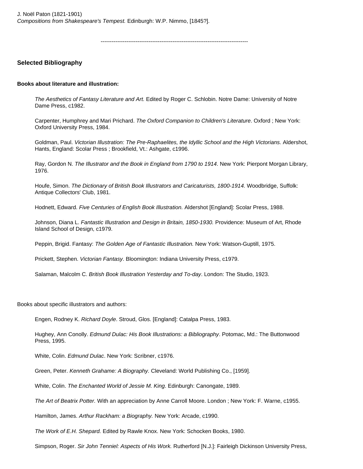J. Noël Paton (1821-1901) *Compositions from Shakespeare's Tempest.* Edinburgh: W.P. Nimmo, [1845?].

--------------------------------------------------------------------------------

## **Selected Bibliography**

#### **Books about literature and illustration:**

*The Aesthetics of Fantasy Literature and Art.* Edited by Roger C. Schlobin. Notre Dame: University of Notre Dame Press, c1982.

Carpenter, Humphrey and Mari Prichard. *The Oxford Companion to Children's Literature*. Oxford ; New York: Oxford University Press, 1984.

Goldman, Paul. *Victorian Illustration: The Pre-Raphaelites, the Idyllic School and the High Victorians.* Aldershot, Hants, England: Scolar Press ; Brookfield, Vt.: Ashgate, c1996.

Ray, Gordon N. *The Illustrator and the Book in England from 1790 to 1914*. New York: Pierpont Morgan Library, 1976.

Houfe, Simon. *The Dictionary of British Book Illustrators and Caricaturists, 1800-1914.* Woodbridge, Suffolk: Antique Collectors' Club, 1981.

Hodnett, Edward. *Five Centuries of English Book Illustration.* Aldershot [England]: Scolar Press, 1988.

Johnson, Diana L. *Fantastic Illustration and Design in Britain, 1850-1930.* Providence: Museum of Art, Rhode Island School of Design, c1979.

Peppin, Brigid. Fantasy: *The Golden Age of Fantastic Illustration.* New York: Watson-Guptill, 1975.

Prickett, Stephen. *Victorian Fantasy*. Bloomington: Indiana University Press, c1979.

Salaman, Malcolm C. *British Book Illustration Yesterday and To-day*. London: The Studio, 1923.

Books about specific illustrators and authors:

Engen, Rodney K. *Richard Doyle*. Stroud, Glos. [England]: Catalpa Press, 1983.

Hughey, Ann Conolly. *Edmund Dulac: His Book Illustrations: a Bibliography*. Potomac, Md.: The Buttonwood Press, 1995.

White, Colin. *Edmund Dulac*. New York: Scribner, c1976.

Green, Peter. *Kenneth Grahame: A Biography.* Cleveland: World Publishing Co., [1959].

White, Colin. *The Enchanted World of Jessie M. King*. Edinburgh: Canongate, 1989.

*The Art of Beatrix Potter.* With an appreciation by Anne Carroll Moore. London ; New York: F. Warne, c1955.

Hamilton, James. *Arthur Rackham: a Biography.* New York: Arcade, c1990.

*The Work of E.H. Shepard.* Edited by Rawle Knox. New York: Schocken Books, 1980.

Simpson, Roger. *Sir John Tenniel: Aspects of His Work.* Rutherford [N.J.]: Fairleigh Dickinson University Press,